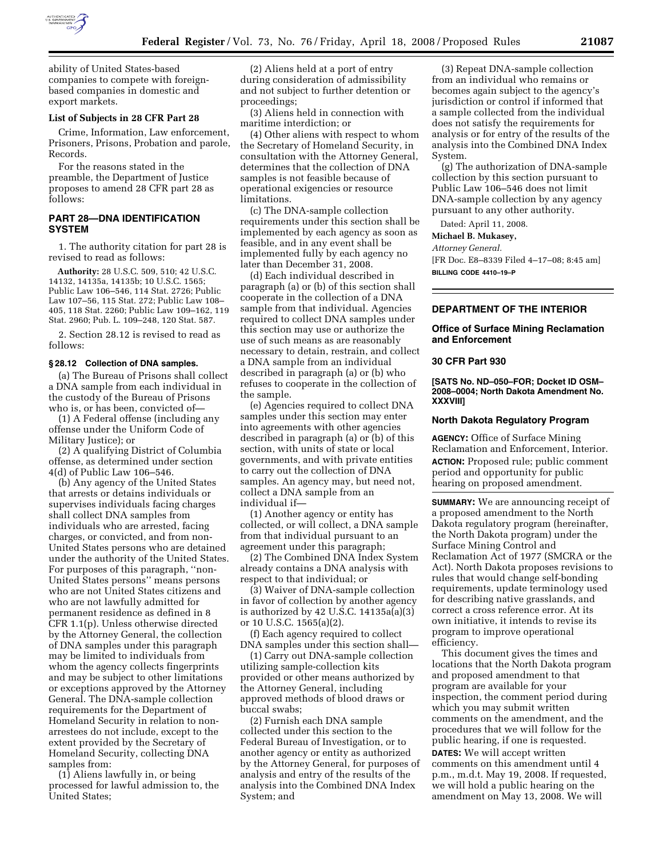

ability of United States-based companies to compete with foreignbased companies in domestic and export markets.

# **List of Subjects in 28 CFR Part 28**

Crime, Information, Law enforcement, Prisoners, Prisons, Probation and parole, Records.

For the reasons stated in the preamble, the Department of Justice proposes to amend 28 CFR part 28 as follows:

## **PART 28—DNA IDENTIFICATION SYSTEM**

1. The authority citation for part 28 is revised to read as follows:

**Authority:** 28 U.S.C. 509, 510; 42 U.S.C. 14132, 14135a, 14135b; 10 U.S.C. 1565; Public Law 106–546, 114 Stat. 2726; Public Law 107–56, 115 Stat. 272; Public Law 108– 405, 118 Stat. 2260; Public Law 109–162, 119 Stat. 2960; Pub. L. 109–248, 120 Stat. 587.

2. Section 28.12 is revised to read as follows:

#### **§ 28.12 Collection of DNA samples.**

(a) The Bureau of Prisons shall collect a DNA sample from each individual in the custody of the Bureau of Prisons who is, or has been, convicted of—

(1) A Federal offense (including any offense under the Uniform Code of Military Justice); or

(2) A qualifying District of Columbia offense, as determined under section 4(d) of Public Law 106–546.

(b) Any agency of the United States that arrests or detains individuals or supervises individuals facing charges shall collect DNA samples from individuals who are arrested, facing charges, or convicted, and from non-United States persons who are detained under the authority of the United States. For purposes of this paragraph, ''non-United States persons'' means persons who are not United States citizens and who are not lawfully admitted for permanent residence as defined in 8 CFR 1.1(p). Unless otherwise directed by the Attorney General, the collection of DNA samples under this paragraph may be limited to individuals from whom the agency collects fingerprints and may be subject to other limitations or exceptions approved by the Attorney General. The DNA-sample collection requirements for the Department of Homeland Security in relation to nonarrestees do not include, except to the extent provided by the Secretary of Homeland Security, collecting DNA samples from:

(1) Aliens lawfully in, or being processed for lawful admission to, the United States;

(2) Aliens held at a port of entry during consideration of admissibility and not subject to further detention or proceedings;

(3) Aliens held in connection with maritime interdiction; or

(4) Other aliens with respect to whom the Secretary of Homeland Security, in consultation with the Attorney General, determines that the collection of DNA samples is not feasible because of operational exigencies or resource limitations.

(c) The DNA-sample collection requirements under this section shall be implemented by each agency as soon as feasible, and in any event shall be implemented fully by each agency no later than December 31, 2008.

(d) Each individual described in paragraph (a) or (b) of this section shall cooperate in the collection of a DNA sample from that individual. Agencies required to collect DNA samples under this section may use or authorize the use of such means as are reasonably necessary to detain, restrain, and collect a DNA sample from an individual described in paragraph (a) or (b) who refuses to cooperate in the collection of the sample.

(e) Agencies required to collect DNA samples under this section may enter into agreements with other agencies described in paragraph (a) or (b) of this section, with units of state or local governments, and with private entities to carry out the collection of DNA samples. An agency may, but need not, collect a DNA sample from an individual if—

(1) Another agency or entity has collected, or will collect, a DNA sample from that individual pursuant to an agreement under this paragraph;

(2) The Combined DNA Index System already contains a DNA analysis with respect to that individual; or

(3) Waiver of DNA-sample collection in favor of collection by another agency is authorized by 42 U.S.C.  $14135a(a)(3)$ or 10 U.S.C. 1565(a)(2).

(f) Each agency required to collect DNA samples under this section shall—

(1) Carry out DNA-sample collection utilizing sample-collection kits provided or other means authorized by the Attorney General, including approved methods of blood draws or buccal swabs;

(2) Furnish each DNA sample collected under this section to the Federal Bureau of Investigation, or to another agency or entity as authorized by the Attorney General, for purposes of analysis and entry of the results of the analysis into the Combined DNA Index System; and

(3) Repeat DNA-sample collection from an individual who remains or becomes again subject to the agency's jurisdiction or control if informed that a sample collected from the individual does not satisfy the requirements for analysis or for entry of the results of the analysis into the Combined DNA Index System.

(g) The authorization of DNA-sample collection by this section pursuant to Public Law 106–546 does not limit DNA-sample collection by any agency pursuant to any other authority.

Dated: April 11, 2008.

## **Michael B. Mukasey,**

*Attorney General.* 

[FR Doc. E8–8339 Filed 4–17–08; 8:45 am] **BILLING CODE 4410–19–P** 

## **DEPARTMENT OF THE INTERIOR**

## **Office of Surface Mining Reclamation and Enforcement**

#### **30 CFR Part 930**

**[SATS No. ND–050–FOR; Docket ID OSM– 2008–0004; North Dakota Amendment No. XXXVIII]** 

#### **North Dakota Regulatory Program**

**AGENCY:** Office of Surface Mining Reclamation and Enforcement, Interior. **ACTION:** Proposed rule; public comment period and opportunity for public hearing on proposed amendment.

**SUMMARY:** We are announcing receipt of a proposed amendment to the North Dakota regulatory program (hereinafter, the North Dakota program) under the Surface Mining Control and Reclamation Act of 1977 (SMCRA or the Act). North Dakota proposes revisions to rules that would change self-bonding requirements, update terminology used for describing native grasslands, and correct a cross reference error. At its own initiative, it intends to revise its program to improve operational efficiency.

This document gives the times and locations that the North Dakota program and proposed amendment to that program are available for your inspection, the comment period during which you may submit written comments on the amendment, and the procedures that we will follow for the public hearing, if one is requested.

**DATES:** We will accept written comments on this amendment until 4 p.m., m.d.t. May 19, 2008. If requested, we will hold a public hearing on the amendment on May 13, 2008. We will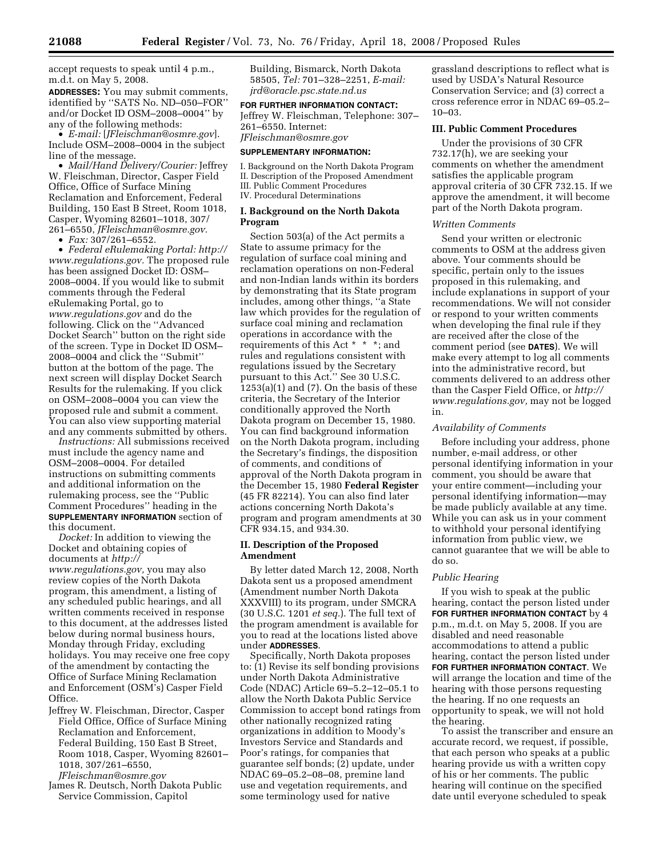accept requests to speak until 4 p.m., m.d.t. on May 5, 2008.

**ADDRESSES:** You may submit comments, identified by ''SATS No. ND–050–FOR'' and/or Docket ID OSM–2008–0004'' by any of the following methods:

• *E-mail:* [*JFleischman@osmre.gov*]. Include OSM–2008–0004 in the subject line of the message.

• *Mail/Hand Delivery/Courier:* Jeffrey W. Fleischman, Director, Casper Field Office, Office of Surface Mining Reclamation and Enforcement, Federal Building, 150 East B Street, Room 1018, Casper, Wyoming 82601–1018, 307/ 261–6550, *JFleischman@osmre.gov.* 

• *Fax:* 307/261–6552.

• *Federal eRulemaking Portal: http:// www.regulations.gov.* The proposed rule has been assigned Docket ID: OSM– 2008–0004. If you would like to submit comments through the Federal eRulemaking Portal, go to *www.regulations.gov* and do the following. Click on the ''Advanced Docket Search'' button on the right side of the screen. Type in Docket ID OSM– 2008–0004 and click the ''Submit'' button at the bottom of the page. The next screen will display Docket Search Results for the rulemaking. If you click on OSM–2008–0004 you can view the proposed rule and submit a comment. You can also view supporting material and any comments submitted by others.

*Instructions:* All submissions received must include the agency name and OSM–2008–0004. For detailed instructions on submitting comments and additional information on the rulemaking process, see the ''Public Comment Procedures'' heading in the **SUPPLEMENTARY INFORMATION** section of this document.

*Docket:* In addition to viewing the Docket and obtaining copies of documents at *http:// www.regulations.gov,* you may also review copies of the North Dakota program, this amendment, a listing of any scheduled public hearings, and all written comments received in response to this document, at the addresses listed below during normal business hours, Monday through Friday, excluding holidays. You may receive one free copy of the amendment by contacting the Office of Surface Mining Reclamation and Enforcement (OSM's) Casper Field Office.

Jeffrey W. Fleischman, Director, Casper Field Office, Office of Surface Mining Reclamation and Enforcement, Federal Building, 150 East B Street, Room 1018, Casper, Wyoming 82601– 1018, 307/261–6550,

*JFleischman@osmre.gov* 

James R. Deutsch, North Dakota Public Service Commission, Capitol

Building, Bismarck, North Dakota 58505, *Tel:* 701–328–2251, *E-mail: jrd@oracle.psc.state.nd.us* 

**FOR FURTHER INFORMATION CONTACT:**  Jeffrey W. Fleischman, Telephone: 307– 261–6550. Internet: *JFleischman@osmre.gov* 

#### **SUPPLEMENTARY INFORMATION:**

I. Background on the North Dakota Program II. Description of the Proposed Amendment III. Public Comment Procedures IV. Procedural Determinations

## **I. Background on the North Dakota Program**

Section 503(a) of the Act permits a State to assume primacy for the regulation of surface coal mining and reclamation operations on non-Federal and non-Indian lands within its borders by demonstrating that its State program includes, among other things, ''a State law which provides for the regulation of surface coal mining and reclamation operations in accordance with the requirements of this Act \* \* \*; and rules and regulations consistent with regulations issued by the Secretary pursuant to this Act.'' See 30 U.S.C.  $1253(a)(1)$  and  $(7)$ . On the basis of these criteria, the Secretary of the Interior conditionally approved the North Dakota program on December 15, 1980. You can find background information on the North Dakota program, including the Secretary's findings, the disposition of comments, and conditions of approval of the North Dakota program in the December 15, 1980 **Federal Register**  (45 FR 82214). You can also find later actions concerning North Dakota's program and program amendments at 30 CFR 934.15, and 934.30.

## **II. Description of the Proposed Amendment**

By letter dated March 12, 2008, North Dakota sent us a proposed amendment (Amendment number North Dakota XXXVIII) to its program, under SMCRA (30 U.S.C. 1201 *et seq.*). The full text of the program amendment is available for you to read at the locations listed above under **ADDRESSES**.

Specifically, North Dakota proposes to: (1) Revise its self bonding provisions under North Dakota Administrative Code (NDAC) Article 69–5.2–12–05.1 to allow the North Dakota Public Service Commission to accept bond ratings from other nationally recognized rating organizations in addition to Moody's Investors Service and Standards and Poor's ratings, for companies that guarantee self bonds; (2) update, under NDAC 69–05.2–08–08, premine land use and vegetation requirements, and some terminology used for native

grassland descriptions to reflect what is used by USDA's Natural Resource Conservation Service; and (3) correct a cross reference error in NDAC 69–05.2– 10–03.

# **III. Public Comment Procedures**

Under the provisions of 30 CFR 732.17(h), we are seeking your comments on whether the amendment satisfies the applicable program approval criteria of 30 CFR 732.15. If we approve the amendment, it will become part of the North Dakota program.

#### *Written Comments*

Send your written or electronic comments to OSM at the address given above. Your comments should be specific, pertain only to the issues proposed in this rulemaking, and include explanations in support of your recommendations. We will not consider or respond to your written comments when developing the final rule if they are received after the close of the comment period (see **DATES**). We will make every attempt to log all comments into the administrative record, but comments delivered to an address other than the Casper Field Office, or *http:// www.regulations.gov,* may not be logged in.

## *Availability of Comments*

Before including your address, phone number, e-mail address, or other personal identifying information in your comment, you should be aware that your entire comment—including your personal identifying information—may be made publicly available at any time. While you can ask us in your comment to withhold your personal identifying information from public view, we cannot guarantee that we will be able to do so.

## *Public Hearing*

If you wish to speak at the public hearing, contact the person listed under **FOR FURTHER INFORMATION CONTACT** by 4 p.m., m.d.t. on May 5, 2008. If you are disabled and need reasonable accommodations to attend a public hearing, contact the person listed under **FOR FURTHER INFORMATION CONTACT**. We will arrange the location and time of the hearing with those persons requesting the hearing. If no one requests an opportunity to speak, we will not hold the hearing.

To assist the transcriber and ensure an accurate record, we request, if possible, that each person who speaks at a public hearing provide us with a written copy of his or her comments. The public hearing will continue on the specified date until everyone scheduled to speak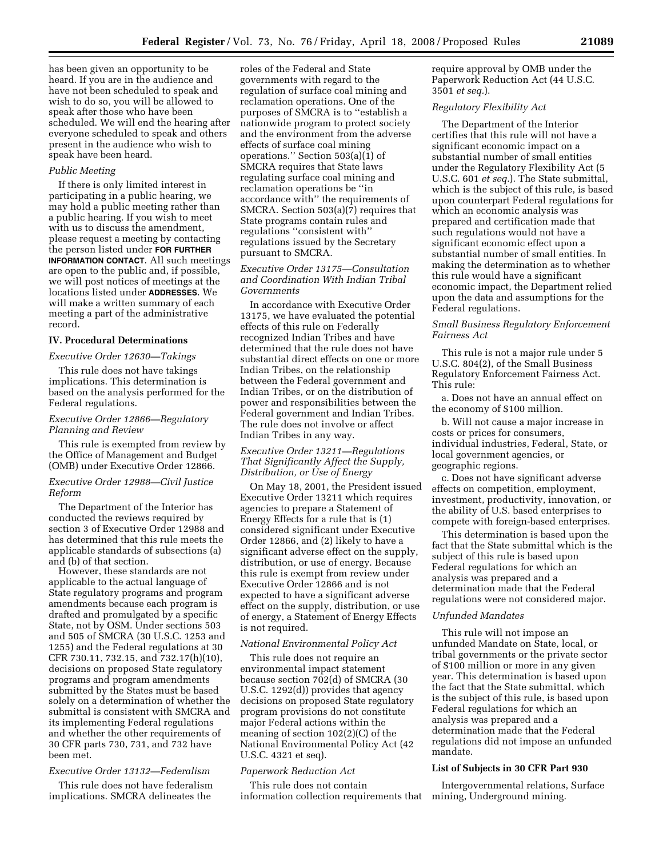has been given an opportunity to be heard. If you are in the audience and have not been scheduled to speak and wish to do so, you will be allowed to speak after those who have been scheduled. We will end the hearing after everyone scheduled to speak and others present in the audience who wish to speak have been heard.

### *Public Meeting*

If there is only limited interest in participating in a public hearing, we may hold a public meeting rather than a public hearing. If you wish to meet with us to discuss the amendment, please request a meeting by contacting the person listed under **FOR FURTHER INFORMATION CONTACT**. All such meetings are open to the public and, if possible, we will post notices of meetings at the locations listed under **ADDRESSES**. We will make a written summary of each meeting a part of the administrative record.

## **IV. Procedural Determinations**

#### *Executive Order 12630—Takings*

This rule does not have takings implications. This determination is based on the analysis performed for the Federal regulations.

### *Executive Order 12866—Regulatory Planning and Review*

This rule is exempted from review by the Office of Management and Budget (OMB) under Executive Order 12866.

### *Executive Order 12988—Civil Justice Reform*

The Department of the Interior has conducted the reviews required by section 3 of Executive Order 12988 and has determined that this rule meets the applicable standards of subsections (a) and (b) of that section.

However, these standards are not applicable to the actual language of State regulatory programs and program amendments because each program is drafted and promulgated by a specific State, not by OSM. Under sections 503 and 505 of SMCRA (30 U.S.C. 1253 and 1255) and the Federal regulations at 30 CFR 730.11, 732.15, and 732.17(h)(10), decisions on proposed State regulatory programs and program amendments submitted by the States must be based solely on a determination of whether the submittal is consistent with SMCRA and its implementing Federal regulations and whether the other requirements of 30 CFR parts 730, 731, and 732 have been met.

### *Executive Order 13132—Federalism*

This rule does not have federalism implications. SMCRA delineates the

roles of the Federal and State governments with regard to the regulation of surface coal mining and reclamation operations. One of the purposes of SMCRA is to ''establish a nationwide program to protect society and the environment from the adverse effects of surface coal mining operations.'' Section 503(a)(1) of SMCRA requires that State laws regulating surface coal mining and reclamation operations be ''in accordance with'' the requirements of SMCRA. Section 503(a)(7) requires that State programs contain rules and regulations ''consistent with'' regulations issued by the Secretary pursuant to SMCRA.

## *Executive Order 13175—Consultation and Coordination With Indian Tribal Governments*

In accordance with Executive Order 13175, we have evaluated the potential effects of this rule on Federally recognized Indian Tribes and have determined that the rule does not have substantial direct effects on one or more Indian Tribes, on the relationship between the Federal government and Indian Tribes, or on the distribution of power and responsibilities between the Federal government and Indian Tribes. The rule does not involve or affect Indian Tribes in any way.

## *Executive Order 13211—Regulations That Significantly Affect the Supply, Distribution, or Use of Energy*

On May 18, 2001, the President issued Executive Order 13211 which requires agencies to prepare a Statement of Energy Effects for a rule that is (1) considered significant under Executive Order 12866, and (2) likely to have a significant adverse effect on the supply, distribution, or use of energy. Because this rule is exempt from review under Executive Order 12866 and is not expected to have a significant adverse effect on the supply, distribution, or use of energy, a Statement of Energy Effects is not required.

# *National Environmental Policy Act*

This rule does not require an environmental impact statement because section 702(d) of SMCRA (30 U.S.C. 1292(d)) provides that agency decisions on proposed State regulatory program provisions do not constitute major Federal actions within the meaning of section 102(2)(C) of the National Environmental Policy Act (42 U.S.C. 4321 et seq).

### *Paperwork Reduction Act*

This rule does not contain information collection requirements that require approval by OMB under the Paperwork Reduction Act (44 U.S.C. 3501 *et seq.*).

## *Regulatory Flexibility Act*

The Department of the Interior certifies that this rule will not have a significant economic impact on a substantial number of small entities under the Regulatory Flexibility Act (5 U.S.C. 601 *et seq.*). The State submittal, which is the subject of this rule, is based upon counterpart Federal regulations for which an economic analysis was prepared and certification made that such regulations would not have a significant economic effect upon a substantial number of small entities. In making the determination as to whether this rule would have a significant economic impact, the Department relied upon the data and assumptions for the Federal regulations.

#### *Small Business Regulatory Enforcement Fairness Act*

This rule is not a major rule under 5 U.S.C. 804(2), of the Small Business Regulatory Enforcement Fairness Act. This rule:

a. Does not have an annual effect on the economy of \$100 million.

b. Will not cause a major increase in costs or prices for consumers, individual industries, Federal, State, or local government agencies, or geographic regions.

c. Does not have significant adverse effects on competition, employment, investment, productivity, innovation, or the ability of U.S. based enterprises to compete with foreign-based enterprises.

This determination is based upon the fact that the State submittal which is the subject of this rule is based upon Federal regulations for which an analysis was prepared and a determination made that the Federal regulations were not considered major.

#### *Unfunded Mandates*

This rule will not impose an unfunded Mandate on State, local, or tribal governments or the private sector of \$100 million or more in any given year. This determination is based upon the fact that the State submittal, which is the subject of this rule, is based upon Federal regulations for which an analysis was prepared and a determination made that the Federal regulations did not impose an unfunded mandate.

## **List of Subjects in 30 CFR Part 930**

Intergovernmental relations, Surface mining, Underground mining.